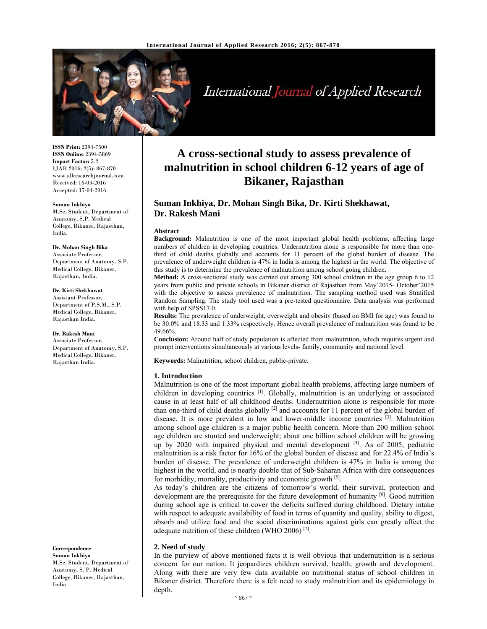

International Journal of Applied Research

**ISSN Print:** 2394-7500 **ISSN Online:** 2394-5869 **Impact Factor:** 5.2 IJAR 2016; 2(5): 867-870 www.allresearchjournal.com Received: 16-03-2016 Accepted: 17-04-2016

#### **Suman Inkhiya**

M.Sc. Student, Department of Anatomy, S.P. Medical College, Bikaner, Rajasthan, India.

#### **Dr. Mohan Singh Bika**

Associate Professor, Department of Anatomy, S.P. Medical College, Bikaner, Rajasthan, India.

#### **Dr. Kirti Shekhawat**

Assistant Professor, Department of P.S.M., S.P. Medical College, Bikaner, Rajasthan India.

#### **Dr. Rakesh Mani**

Associate Professor, Department of Anatomy, S.P. Medical College, Bikaner, Rajasthan India.

#### **Correspondence**

**Suman Inkhiya**  M.Sc. Student, Department of Anatomy, S. P. Medical College, Bikaner, Rajasthan, India.

# **A cross-sectional study to assess prevalence of malnutrition in school children 6-12 years of age of Bikaner, Rajasthan**

# **Suman Inkhiya, Dr. Mohan Singh Bika, Dr. Kirti Shekhawat, Dr. Rakesh Mani**

#### **Abstract**

**Background:** Malnutrition is one of the most important global health problems, affecting large numbers of children in developing countries. Undernutrition alone is responsible for more than onethird of child deaths globally and accounts for 11 percent of the global burden of disease. The prevalence of underweight children is 47% in India is among the highest in the world. The objective of this study is to determine the prevalence of malnutrition among school going children.

**Method:** A cross-sectional study was carried out among 300 school children in the age group 6 to 12 years from public and private schools in Bikaner district of Rajasthan from May'2015- October'2015 with the objective to assess prevalence of malnutrition. The sampling method used was Stratified Random Sampling. The study tool used was a pre-tested questionnaire. Data analysis was performed with help of SPSS17.0.

**Results:** The prevalence of underweight, overweight and obesity (based on BMI for age) was found to be 30.0% and 18.33 and 1.33% respectively. Hence overall prevalence of malnutrition was found to be 49.66%.

**Conclusion:** Around half of study population is affected from malnutrition, which requires urgent and prompt interventions simultaneously at various levels- family, community and national level.

**Keywords:** Malnutrition, school children, public-private.

#### **1. Introduction**

Malnutrition is one of the most important global health problems, affecting large numbers of children in developing countries  $[1]$ . Globally, malnutrition is an underlying or associated cause in at least half of all childhood deaths. Undernutrition alone is responsible for more than one-third of child deaths globally <sup>[2]</sup> and accounts for 11 percent of the global burden of disease. It is more prevalent in low and lower-middle income countries [3]. Malnutrition among school age children is a major public health concern. More than 200 million school age children are stunted and underweight; about one billion school children will be growing up by 2020 with impaired physical and mental development [4]. As of 2005, pediatric malnutrition is a risk factor for 16% of the global burden of disease and for 22.4% of India's burden of disease. The prevalence of underweight children is 47% in India is among the highest in the world, and is nearly double that of Sub-Saharan Africa with dire consequences for morbidity, mortality, productivity and economic growth [5].

As today's children are the citizens of tomorrow's world, their survival, protection and development are the prerequisite for the future development of humanity  $[6]$ . Good nutrition during school age is critical to cover the deficits suffered during childhood. Dietary intake with respect to adequate availability of food in terms of quantity and quality, ability to digest, absorb and utilize food and the social discriminations against girls can greatly affect the adequate nutrition of these children (WHO 2006) [7].

#### **2. Need of study**

In the purview of above mentioned facts it is well obvious that undernutrition is a serious concern for our nation. It jeopardizes children survival, health, growth and development. Along with there are very few data available on nutritional status of school children in Bikaner district. Therefore there is a felt need to study malnutrition and its epidemiology in depth.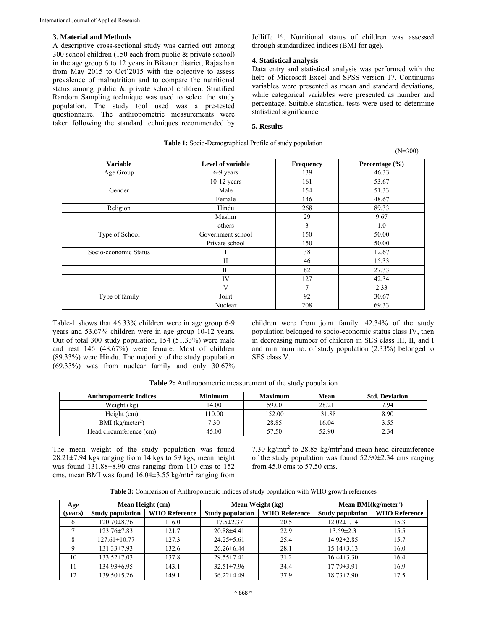#### **3. Material and Methods**

A descriptive cross-sectional study was carried out among 300 school children (150 each from public & private school) in the age group 6 to 12 years in Bikaner district, Rajasthan from May 2015 to Oct'2015 with the objective to assess prevalence of malnutrition and to compare the nutritional status among public & private school children. Stratified Random Sampling technique was used to select the study population. The study tool used was a pre-tested questionnaire. The anthropometric measurements were taken following the standard techniques recommended by Jelliffe [8]. Nutritional status of children was assessed through standardized indices (BMI for age).

## **4. Statistical analysis**

Data entry and statistical analysis was performed with the help of Microsoft Excel and SPSS version 17. Continuous variables were presented as mean and standard deviations, while categorical variables were presented as number and percentage. Suitable statistical tests were used to determine statistical significance.

(N=300)

# **5. Results**

# **Table 1:** Socio-Demographical Profile of study population

Variable **Level of variable Frequency** Percentage (%) Age Group 139 139 46.33 10-12 years 161 53.67 Gender 154 51.33 **Female** 146 146 48.67 Religion Hindu 268 89.33 Muslim 29 9.67 others 1.0 Type of School Government school 150 50.00 Private school 150 150 50.00 Socio-economic Status I 1 38 12.67  $II$  46 15.33 III 82 27.33  $IV$  127  $42.34$  $V$  7 2.33 Type of family Joint Joint 92 30.67 Nuclear 208 69.33

Table-1 shows that 46.33% children were in age group 6-9 years and 53.67% children were in age group 10-12 years. Out of total 300 study population, 154 (51.33%) were male and rest 146 (48.67%) were female. Most of children (89.33%) were Hindu. The majority of the study population (69.33%) was from nuclear family and only 30.67% children were from joint family. 42.34% of the study population belonged to socio-economic status class IV, then in decreasing number of children in SES class III, II, and I and minimum no. of study population (2.33%) belonged to SES class V.

| <b>Anthropometric Indices</b> | <b>Minimum</b> | <b>Maximum</b> | Mean   | <b>Std. Deviation</b> |
|-------------------------------|----------------|----------------|--------|-----------------------|
| Weight (kg)                   | 14.00          | 59.00          | 28.21  | 7.94                  |
| Height (cm)                   | 110.00         | 152.00         | 131.88 | 8.90                  |
| BMI $(kg/meter2)$             | 7.30           | 28.85          | 16.04  | 3.55                  |
| Head circumference (cm)       | 45.00          | 57.50          | 52.90  | 2.34                  |

**Table 2:** Anthropometric measurement of the study population

The mean weight of the study population was found 28.21±7.94 kgs ranging from 14 kgs to 59 kgs, mean height was found 131.88±8.90 cms ranging from 110 cms to 152 cms, mean BMI was found  $16.04 \pm 3.55$  kg/mtr<sup>2</sup> ranging from

7.30 kg/mtr<sup>2</sup> to 28.85 kg/mtr<sup>2</sup>and mean head circumference of the study population was found 52.90±2.34 cms ranging from 45.0 cms to 57.50 cms.

|  | Table 3: Comparison of Anthropometric indices of study population with WHO growth references |  |  |  |  |
|--|----------------------------------------------------------------------------------------------|--|--|--|--|
|--|----------------------------------------------------------------------------------------------|--|--|--|--|

| Age      | Mean Height (cm)        |                      | Mean Weight (kg)        |                      | Mean BMI( $kg/meter2$ ) |                      |
|----------|-------------------------|----------------------|-------------------------|----------------------|-------------------------|----------------------|
| (vears)  | <b>Study population</b> | <b>WHO Reference</b> | <b>Study population</b> | <b>WHO Reference</b> | <b>Study population</b> | <b>WHO Reference</b> |
| $\sigma$ | $120.70 \pm 8.76$       | 116.0                | $17.5 \pm 2.37$         | 20.5                 | $12.02 \pm 1.14$        | 15.3                 |
|          | $123.76 \pm 7.83$       | 121.7                | $20.88 \pm 4.41$        | 22.9                 | $13.59 \pm 2.3$         | 15.5                 |
|          | $127.61 \pm 10.77$      | 127.3                | $24.25 \pm 5.61$        | 25.4                 | $14.92 \pm 2.85$        | 15.7                 |
| $\Omega$ | $131.33 \pm 7.93$       | 132.6                | $26.26 \pm 6.44$        | 28.1                 | $15.14 \pm 3.13$        | 16.0                 |
| 10       | $133.52 \pm 7.03$       | 137.8                | $29.55 \pm 7.41$        | 31.2                 | $16.44\pm3.30$          | 16.4                 |
| 11       | 134.93±6.95             | 143.1                | $32.51 \pm 7.96$        | 34.4                 | $17.79 \pm 3.91$        | 16.9                 |
| 12       | 139.50±5.26             | 149.1                | $36.22 \pm 4.49$        | 37.9                 | $18.73 \pm 2.90$        | 17.5                 |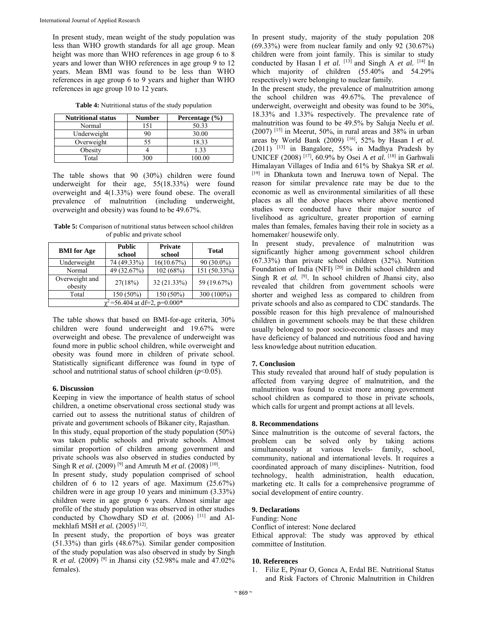In present study, mean weight of the study population was less than WHO growth standards for all age group. Mean height was more than WHO references in age group 6 to 8 years and lower than WHO references in age group 9 to 12 years. Mean BMI was found to be less than WHO references in age group 6 to 9 years and higher than WHO references in age group 10 to 12 years.

| <b>Nutritional status</b> | <b>Number</b> | Percentage $(\% )$ |
|---------------------------|---------------|--------------------|
| Normal                    |               | 50.33              |
| Underweight               |               | 30.00              |
| Overweight                | 55            | 18.33              |
| Obesity                   |               | 1.33               |
| Total                     | 300           | 100.00             |

**Table 4:** Nutritional status of the study population

The table shows that 90 (30%) children were found underweight for their age,  $55(18.33%)$  were found overweight and 4(1.33%) were found obese. The overall prevalence of malnutrition (including underweight, overweight and obesity) was found to be 49.67%.

**Table 5:** Comparison of nutritional status between school children of public and private school

| <b>BMI</b> for Age                 | <b>Public</b><br>school | <b>Private</b><br>school | <b>Total</b>   |  |
|------------------------------------|-------------------------|--------------------------|----------------|--|
| Underweight                        | 74 (49.33%)             | 16(10.67%)               | $90(30.0\%)$   |  |
| Normal                             | 49 (32.67%)             | 102 (68%)                | $151(50.33\%)$ |  |
| Overweight and<br>obesity          | 27(18%)                 | 32 (21.33%)              | 59 (19.67%)    |  |
| Total                              | 150 (50%)               | 150 (50%)                | 300 (100%)     |  |
| $\chi^2$ =56.404 at df=2, p=0.000* |                         |                          |                |  |

The table shows that based on BMI-for-age criteria, 30% children were found underweight and 19.67% were overweight and obese. The prevalence of underweight was found more in public school children, while overweight and obesity was found more in children of private school. Statistically significant difference was found in type of school and nutritional status of school children  $(p<0.05)$ .

## **6. Discussion**

Keeping in view the importance of health status of school children, a onetime observational cross sectional study was carried out to assess the nutritional status of children of private and government schools of Bikaner city, Rajasthan.

In this study, equal proportion of the study population (50%) was taken public schools and private schools. Almost similar proportion of children among government and private schools was also observed in studies conducted by Singh R *et al.* (2009) [9] and Amruth M *et al.* (2008) [10].

In present study, study population comprised of school children of 6 to 12 years of age. Maximum (25.67%) children were in age group 10 years and minimum (3.33%) children were in age group 6 years. Almost similar age profile of the study population was observed in other studies conducted by Chowdhary SD *et al.* (2006)<sup>[11]</sup> and Almekhlafi MSH *et al.* (2005) [12].

In present study, the proportion of boys was greater (51.33%) than girls (48.67%). Similar gender composition of the study population was also observed in study by Singh R *et al.* (2009) [9] in Jhansi city (52.98% male and 47.02% females).

In present study, majority of the study population 208  $(69.33%)$  were from nuclear family and only 92  $(30.67%)$ children were from joint family. This is similar to study conducted by Hasan I *et al.*  $[13]$  and Singh A *et al.*  $[14]$  In which majority of children (55.40% and 54.29% respectively) were belonging to nuclear family.

In the present study, the prevalence of malnutrition among the school children was 49.67%. The prevalence of underweight, overweight and obesity was found to be 30%, 18.33% and 1.33% respectively. The prevalence rate of malnutrition was found to be 49.5% by Saluja Neelu *et al.* (2007) [15] in Meerut, 50%, in rural areas and 38% in urban areas by World Bank (2009) [16], 52% by Hasan I *et al.* (2011) [13] in Bangalore, 55% in Madhya Pradesh by UNICEF (2008) [17], 60.9% by Osei A *et al.* [18] in Garhwali Himalayan Villages of India and 61% by Shakya SR *et al.* [19] in Dhankuta town and Ineruwa town of Nepal. The reason for similar prevalence rate may be due to the economic as well as environmental similarities of all these places as all the above places where above mentioned studies were conducted have their major source of livelihood as agriculture, greater proportion of earning males than females, females having their role in society as a homemaker/ housewife only.

In present study, prevalence of malnutrition was significantly higher among government school children (67.33%) than private school children (32%). Nutrition Foundation of India (NFI) [20] in Delhi school children and Singh R *et al.* <sup>[9]</sup>. In school children of Jhansi city, also revealed that children from government schools were shorter and weighed less as compared to children from private schools and also as compared to CDC standards. The possible reason for this high prevalence of malnourished children in government schools may be that these children usually belonged to poor socio-economic classes and may have deficiency of balanced and nutritious food and having less knowledge about nutrition education.

#### **7. Conclusion**

This study revealed that around half of study population is affected from varying degree of malnutrition, and the malnutrition was found to exist more among government school children as compared to those in private schools, which calls for urgent and prompt actions at all levels.

#### **8. Recommendations**

Since malnutrition is the outcome of several factors, the problem can be solved only by taking actions simultaneously at various levels- family, school, community, national and international levels. It requires a coordinated approach of many disciplines- Nutrition, food technology, health administration, health education, marketing etc. It calls for a comprehensive programme of social development of entire country.

#### **9. Declarations**

Funding: None

Conflict of interest: None declared

Ethical approval: The study was approved by ethical committee of Institution.

#### **10. References**

1. Filiz E, Pýnar O, Gonca A, Erdal BE. Nutritional Status and Risk Factors of Chronic Malnutrition in Children